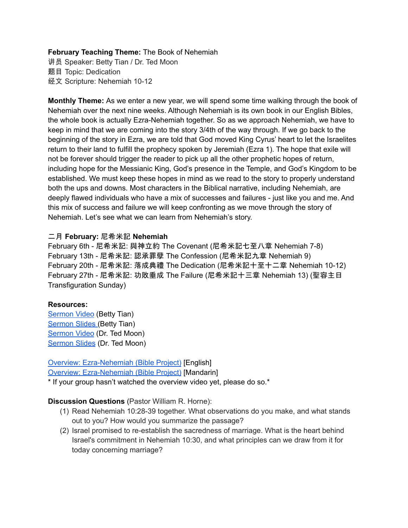## **February Teaching Theme:** The Book of Nehemiah

讲员 Speaker: Betty Tian / Dr. Ted Moon 题目 Topic: Dedication 经文 Scripture: Nehemiah 10-12

**Monthly Theme:** As we enter a new year, we will spend some time walking through the book of Nehemiah over the next nine weeks. Although Nehemiah is its own book in our English Bibles, the whole book is actually Ezra-Nehemiah together. So as we approach Nehemiah, we have to keep in mind that we are coming into the story 3/4th of the way through. If we go back to the beginning of the story in Ezra, we are told that God moved King Cyrus' heart to let the Israelites return to their land to fulfill the prophecy spoken by Jeremiah (Ezra 1). The hope that exile will not be forever should trigger the reader to pick up all the other prophetic hopes of return, including hope for the Messianic King, God's presence in the Temple, and God's Kingdom to be established. We must keep these hopes in mind as we read to the story to properly understand both the ups and downs. Most characters in the Biblical narrative, including Nehemiah, are deeply flawed individuals who have a mix of successes and failures - just like you and me. And this mix of success and failure we will keep confronting as we move through the story of Nehemiah. Let's see what we can learn from Nehemiah's story.

## 二月 **February:** 尼希米記 **Nehemiah**

February 6th - 尼希米記: 與神立約 The Covenant (尼希米記七至八章 Nehemiah 7-8) February 13th - 尼希米記: 認承罪孽 The Confession (尼希米記九章 Nehemiah 9) February 20th - 尼希米記: 落成典禮 The Dedication (尼希米記十至十二章 Nehemiah 10-12) February 27th - 尼希米記: 功敗垂成 The Failure (尼希米記十三章 Nehemiah 13) (聖容主日 Transfiguration Sunday)

### **Resources:**

[Sermon](https://www.youtube.com/watch?v=R7J-RGauIOA) Video (Betty Tian) [Sermon](https://docs.google.com/presentation/d/1viVuAlXQ0QX3XINYndnozTIjYxTrvhTj/edit?usp=sharing&ouid=111022305003760555164&rtpof=true&sd=true) Slides (Betty Tian) [Sermon](https://www.youtube.com/watch?v=hYRzvq_4ygs) Video (Dr. Ted Moon) [Sermon](https://docs.google.com/presentation/d/1PE-ap-NrsLyF94kfd-jyxvH39lASYpIi/edit?usp=sharing&ouid=111022305003760555164&rtpof=true&sd=true) Slides (Dr. Ted Moon)

# Overview: [Ezra-Nehemiah](https://bibleproject.com/explore/video/ezra-nehemiah/) (Bible Project) [English]

Overview: [Ezra-Nehemiah](https://www.youtube.com/watch?v=S4pg2h8DOM4&list=PLE-R0uydm0uN0xKD3tw0aheiQojlf1JB1&index=37) (Bible Project) [Mandarin]

\* If your group hasn't watched the overview video yet, please do so.\*

## **Discussion Questions** (Pastor William R. Horne):

- (1) Read Nehemiah 10:28-39 together. What observations do you make, and what stands out to you? How would you summarize the passage?
- (2) Israel promised to re-establish the sacredness of marriage. What is the heart behind Israel's commitment in Nehemiah 10:30, and what principles can we draw from it for today concerning marriage?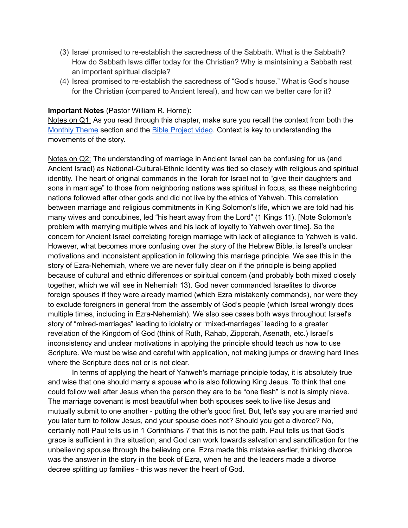- (3) Israel promised to re-establish the sacredness of the Sabbath. What is the Sabbath? How do Sabbath laws differ today for the Christian? Why is maintaining a Sabbath rest an important spiritual disciple?
- (4) Isreal promised to re-establish the sacredness of "God's house." What is God's house for the Christian (compared to Ancient Isreal), and how can we better care for it?

#### **Important Notes** (Pastor William R. Horne)**:**

Notes on Q1: As you read through this chapter, make sure you recall the context from both the [Monthly](https://docs.google.com/document/d/1kdIsb1XcIs7gpJh6mmgzNf6Jnqwm4iO9jFQe6U3OtNY/edit#bookmark=id.ldbe2mqdl12r) Theme section and the Bible [Project](https://docs.google.com/document/d/1kdIsb1XcIs7gpJh6mmgzNf6Jnqwm4iO9jFQe6U3OtNY/edit#bookmark=id.d2puhpmovfox) video. Context is key to understanding the movements of the story.

Notes on Q2: The understanding of marriage in Ancient Israel can be confusing for us (and Ancient Israel) as National-Cultural-Ethnic Identity was tied so closely with religious and spiritual identity. The heart of original commands in the Torah for Israel not to "give their daughters and sons in marriage" to those from neighboring nations was spiritual in focus, as these neighboring nations followed after other gods and did not live by the ethics of Yahweh. This correlation between marriage and religious commitments in King Solomon's life, which we are told had his many wives and concubines, led "his heart away from the Lord" (1 Kings 11). [Note Solomon's problem with marrying multiple wives and his lack of loyalty to Yahweh over time]. So the concern for Ancient Israel correlating foreign marriage with lack of allegiance to Yahweh is valid. However, what becomes more confusing over the story of the Hebrew Bible, is Isreal's unclear motivations and inconsistent application in following this marriage principle. We see this in the story of Ezra-Nehemiah, where we are never fully clear on if the principle is being applied because of cultural and ethnic differences or spiritual concern (and probably both mixed closely together, which we will see in Nehemiah 13). God never commanded Israelites to divorce foreign spouses if they were already married (which Ezra mistakenly commands), nor were they to exclude foreigners in general from the assembly of God's people (which Isreal wrongly does multiple times, including in Ezra-Nehemiah). We also see cases both ways throughout Israel's story of "mixed-marriages" leading to idolatry or "mixed-marriages" leading to a greater revelation of the Kingdom of God (think of Ruth, Rahab, Zipporah, Asenath, etc.) Israel's inconsistency and unclear motivations in applying the principle should teach us how to use Scripture. We must be wise and careful with application, not making jumps or drawing hard lines where the Scripture does not or is not clear.

In terms of applying the heart of Yahweh's marriage principle today, it is absolutely true and wise that one should marry a spouse who is also following King Jesus. To think that one could follow well after Jesus when the person they are to be "one flesh" is not is simply nieve. The marriage covenant is most beautiful when both spouses seek to live like Jesus and mutually submit to one another - putting the other's good first. But, let's say you are married and you later turn to follow Jesus, and your spouse does not? Should you get a divorce? No, certainly not! Paul tells us i[n](https://ref.ly/logosref/bible$2Bniv.67.7) 1 Corinthians 7 that this is not the path. Paul tells us that God's grace is sufficient in this situation, and God can work towards salvation and sanctification for the unbelieving spouse through the believing one. Ezra made this mistake earlier, thinking divorce was the answer in the story in the book of Ezra, when he and the leaders made a divorce decree splitting up families - this was never the heart of God.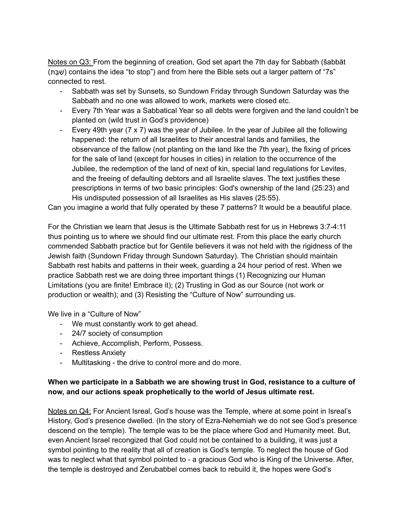Notes on Q3: From the beginning of creation, God set apart the 7th day for Sabbath (šabbāt (בתָּשַׁ (contains the idea "to stop") and from here the Bible sets out a larger pattern of "7s" connected to rest.

- Sabbath was set by Sunsets, so Sundown Friday through Sundown Saturday was the Sabbath and no one was allowed to work, markets were closed etc.
- Every 7th Year was a Sabbatical Year so all debts were forgiven and the land couldn't be planted on (wild trust in God's providence)
- Every 49th year (7 x 7) was the year of Jubilee. In the year of Jubilee all the following happened: the return of all Israelites to their ancestral lands and families, the observance of the fallow (not planting on the land like the 7th year), the fixing of prices for the sale of land (except for houses in cities) in relation to the occurrence of the Jubilee, the redemption of the land of next of kin, special land regulations for Levites, and the freeing of defaulting debtors and all Israelite slaves. The text justifies these prescriptions in terms of two basic principles: God's ownership of the land (25:23) and His undisputed possession of all Israelites as His slaves (25:55).

Can you imagine a world that fully operated by these 7 patterns? It would be a beautiful place.

For the Christian we learn that Jesus is the Ultimate Sabbath rest for us in Hebrews 3:7-4:11 thus pointing us to where we should find our ultimate rest. From this place the early church commended Sabbath practice but for Gentile believers it was not held with the rigidness of the Jewish faith (Sundown Friday through Sundown Saturday). The Christian should maintain Sabbath rest habits and patterns in their week, guarding a 24 hour period of rest. When we practice Sabbath rest we are doing three important things (1) Recognizing our Human Limitations (you are finite! Embrace it); (2) Trusting in God as our Source (not work or production or wealth); and (3) Resisting the "Culture of Now" surrounding us.

We live in a "Culture of Now"

- We must constantly work to get ahead.
- 24/7 society of consumption
- Achieve, Accomplish, Perform, Possess.
- Restless Anxiety
- Multitasking the drive to control more and do more.

# **When we participate in a Sabbath we are showing trust in God, resistance to a culture of now, and our actions speak prophetically to the world of Jesus ultimate rest.**

Notes on Q4: For Ancient Isreal, God's house was the Temple, where at some point in Isreal's History, God's presence dwelled. (In the story of Ezra-Nehemiah we do not see God's presence descend on the temple). The temple was to be the place where God and Humanity meet. But, even Ancient Israel recongized that God could not be contained to a building, it was just a symbol pointing to the reality that all of creation is God's temple. To neglect the house of God was to neglect what that symbol pointed to - a gracious God who is King of the Universe. After, the temple is destroyed and Zerubabbel comes back to rebuild it, the hopes were God's